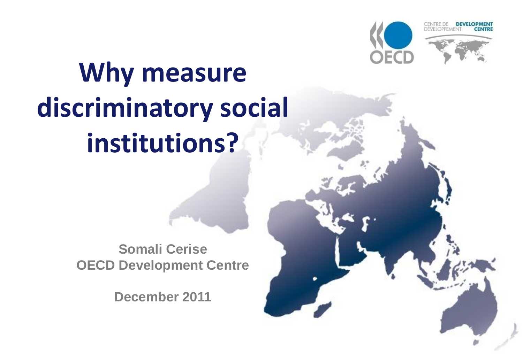



DEV

# **Why measure discriminatory social institutions?**

**Somali Cerise OECD Development Centre**

**December 2011**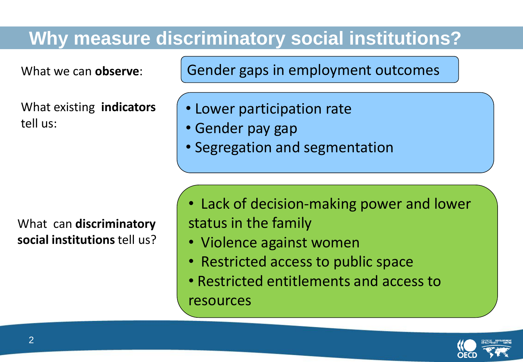#### **Why measure discriminatory social institutions?**

What existing **indicators** tell us:

What can **discriminatory social institutions** tell us?

What we can **observe**: Gender gaps in employment outcomes

- Lower participation rate
- Gender pay gap
- Segregation and segmentation

- Lack of decision-making power and lower status in the family
- Violence against women
- Restricted access to public space
- Restricted entitlements and access to resources

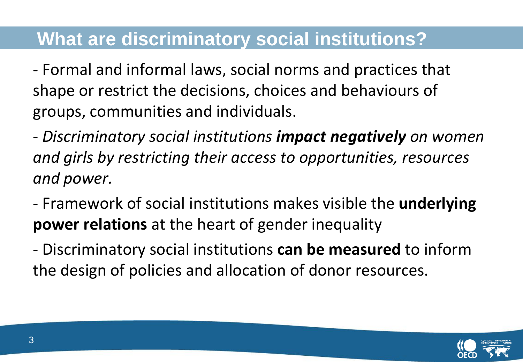#### **What are discriminatory social institutions?**

- Formal and informal laws, social norms and practices that shape or restrict the decisions, choices and behaviours of groups, communities and individuals.

- *Discriminatory social institutions impact negatively on women and girls by restricting their access to opportunities, resources and power.*

- Framework of social institutions makes visible the **underlying power relations** at the heart of gender inequality

- Discriminatory social institutions **can be measured** to inform the design of policies and allocation of donor resources.

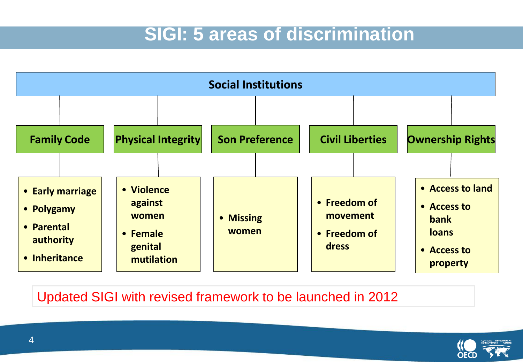#### **SIGI: 5 areas of discrimination**



#### Updated SIGI with revised framework to be launched in 2012

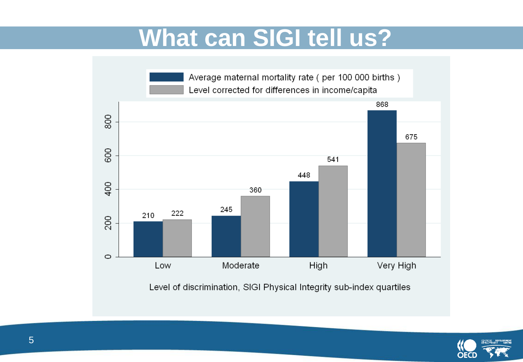## **What can SIGI tell us?**



Level of discrimination, SIGI Physical Integrity sub-index quartiles

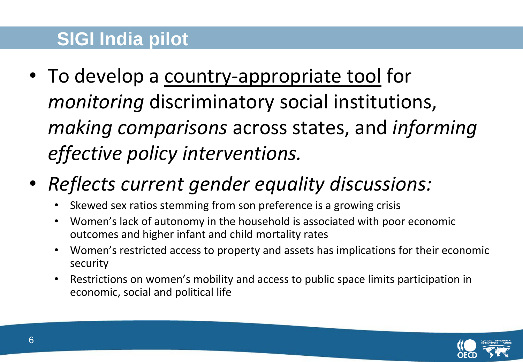### **SIGI India pilot**

- To develop a country-appropriate tool for *monitoring* discriminatory social institutions, *making comparisons* across states, and *informing effective policy interventions.*
- *Reflects current gender equality discussions:*
	- Skewed sex ratios stemming from son preference is a growing crisis
	- Women's lack of autonomy in the household is associated with poor economic outcomes and higher infant and child mortality rates
	- Women's restricted access to property and assets has implications for their economic security
	- Restrictions on women's mobility and access to public space limits participation in economic, social and political life